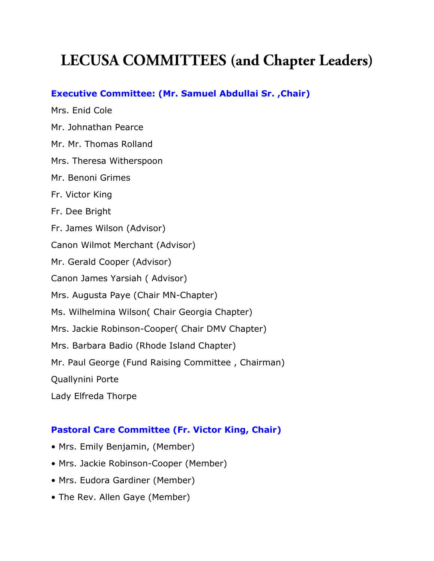# **LECUSA COMMITTEES** (and Chapter Leaders)

## **Executive Committee: (Mr. Samuel Abdullai Sr. ,Chair)**

Mrs. Enid Cole Mr. Johnathan Pearce Mr. Mr. Thomas Rolland Mrs. Theresa Witherspoon Mr. Benoni Grimes Fr. Victor King Fr. Dee Bright Fr. James Wilson (Advisor) Canon Wilmot Merchant (Advisor) Mr. Gerald Cooper (Advisor) Canon James Yarsiah ( Advisor) Mrs. Augusta Paye (Chair MN-Chapter) Ms. Wilhelmina Wilson( Chair Georgia Chapter) Mrs. Jackie Robinson-Cooper( Chair DMV Chapter) Mrs. Barbara Badio (Rhode Island Chapter) Mr. Paul George (Fund Raising Committee , Chairman) Quallynini Porte Lady Elfreda Thorpe

# **Pastoral Care Committee (Fr. Victor King, Chair)**

- Mrs. Emily Benjamin, (Member)
- Mrs. Jackie Robinson-Cooper (Member)
- Mrs. Eudora Gardiner (Member)
- The Rev. Allen Gaye (Member)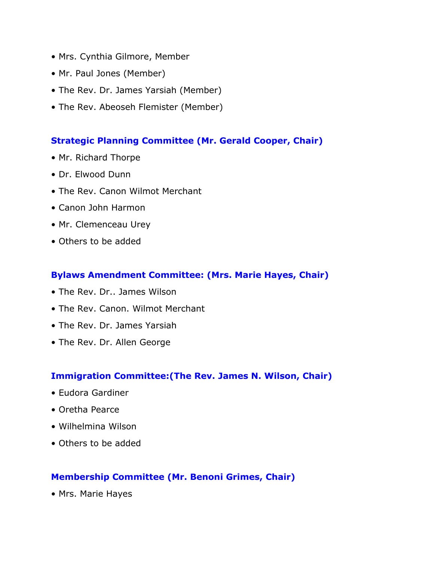- Mrs. Cynthia Gilmore, Member
- Mr. Paul Jones (Member)
- The Rev. Dr. James Yarsiah (Member)
- The Rev. Abeoseh Flemister (Member)

### **Strategic Planning Committee (Mr. Gerald Cooper, Chair)**

- Mr. Richard Thorpe
- Dr. Elwood Dunn
- The Rev. Canon Wilmot Merchant
- Canon John Harmon
- Mr. Clemenceau Urey
- Others to be added

### **Bylaws Amendment Committee: (Mrs. Marie Hayes, Chair)**

- The Rev. Dr.. James Wilson
- The Rev. Canon. Wilmot Merchant
- The Rev. Dr. James Yarsiah
- The Rev. Dr. Allen George

#### **Immigration Committee:(The Rev. James N. Wilson, Chair)**

- Eudora Gardiner
- Oretha Pearce
- Wilhelmina Wilson
- Others to be added

#### **Membership Committee (Mr. Benoni Grimes, Chair)**

• Mrs. Marie Hayes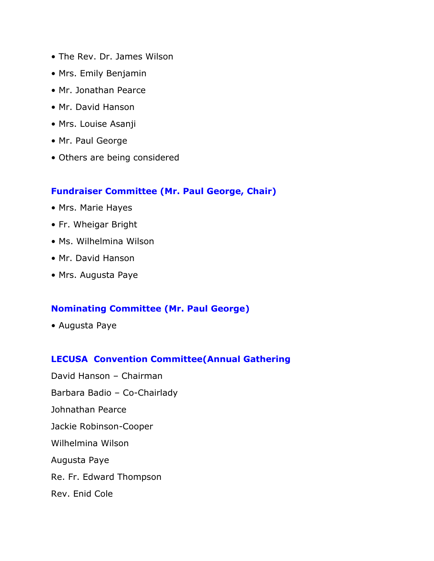- The Rev. Dr. James Wilson
- Mrs. Emily Benjamin
- Mr. Jonathan Pearce
- Mr. David Hanson
- Mrs. Louise Asanji
- Mr. Paul George
- Others are being considered

## **Fundraiser Committee (Mr. Paul George, Chair)**

- Mrs. Marie Hayes
- Fr. Wheigar Bright
- Ms. Wilhelmina Wilson
- Mr. David Hanson
- Mrs. Augusta Paye

## **Nominating Committee (Mr. Paul George)**

• Augusta Paye

## **LECUSA Convention Committee(Annual Gathering**

David Hanson – Chairman Barbara Badio – Co-Chairlady Johnathan Pearce Jackie Robinson-Cooper Wilhelmina Wilson Augusta Paye Re. Fr. Edward Thompson Rev. Enid Cole